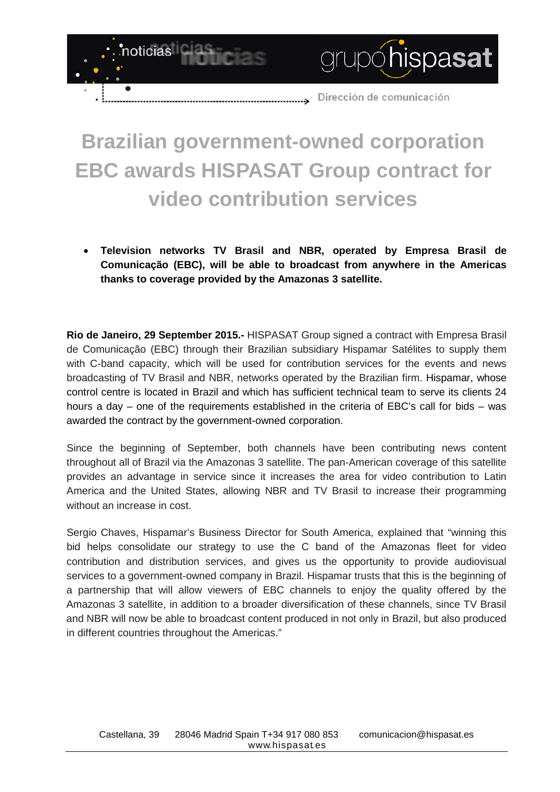

## **Brazilian government-owned corporation EBC awards HISPASAT Group contract for video contribution services**

• **Television networks TV Brasil and NBR, operated by Empresa Brasil de Comunicação (EBC), will be able to broadcast from anywhere in the Americas thanks to coverage provided by the Amazonas 3 satellite.**

**Rio de Janeiro, 29 September 2015.-** HISPASAT Group signed a contract with Empresa Brasil de Comunicação (EBC) through their Brazilian subsidiary Hispamar Satélites to supply them with C-band capacity, which will be used for contribution services for the events and news broadcasting of TV Brasil and NBR, networks operated by the Brazilian firm. Hispamar, whose control centre is located in Brazil and which has sufficient technical team to serve its clients 24 hours a day – one of the requirements established in the criteria of EBC's call for bids – was awarded the contract by the government-owned corporation.

Since the beginning of September, both channels have been contributing news content throughout all of Brazil via the Amazonas 3 satellite. The pan-American coverage of this satellite provides an advantage in service since it increases the area for video contribution to Latin America and the United States, allowing NBR and TV Brasil to increase their programming without an increase in cost.

Sergio Chaves, Hispamar's Business Director for South America, explained that "winning this bid helps consolidate our strategy to use the C band of the Amazonas fleet for video contribution and distribution services, and gives us the opportunity to provide audiovisual services to a government-owned company in Brazil. Hispamar trusts that this is the beginning of a partnership that will allow viewers of EBC channels to enjoy the quality offered by the Amazonas 3 satellite, in addition to a broader diversification of these channels, since TV Brasil and NBR will now be able to broadcast content produced in not only in Brazil, but also produced in different countries throughout the Americas."